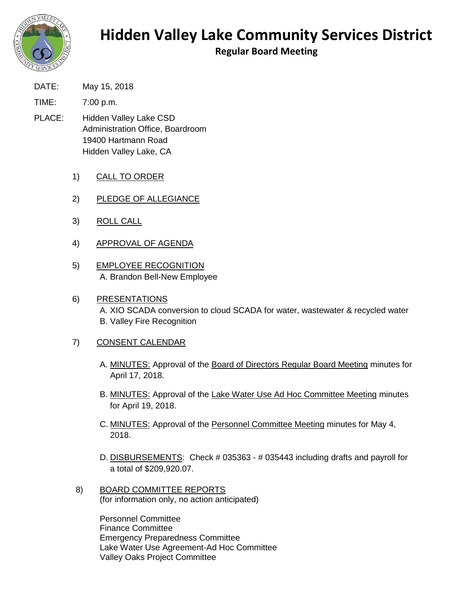

## **Hidden Valley Lake Community Services District**

**Regular Board Meeting**

DATE: May 15, 2018

TIME: 7:00 p.m.

- PLACE: Hidden Valley Lake CSD Administration Office, Boardroom 19400 Hartmann Road Hidden Valley Lake, CA
	- 1) CALL TO ORDER
	- 2) PLEDGE OF ALLEGIANCE
	- 3) ROLL CALL
	- 4) APPROVAL OF AGENDA
	- 5) EMPLOYEE RECOGNITION A. Brandon Bell-New Employee
	- 6) PRESENTATIONS A. XIO SCADA conversion to cloud SCADA for water, wastewater & recycled water B. Valley Fire Recognition

## 7) CONSENT CALENDAR

- A. MINUTES: Approval of the Board of Directors Regular Board Meeting minutes for April 17, 2018.
- B. MINUTES: Approval of the Lake Water Use Ad Hoc Committee Meeting minutes for April 19, 2018.
- C. MINUTES: Approval of the Personnel Committee Meeting minutes for May 4, 2018.
- D. DISBURSEMENTS: Check # 035363 # 035443 including drafts and payroll for a total of \$209,920.07.
- 8) BOARD COMMITTEE REPORTS (for information only, no action anticipated)

Personnel Committee Finance Committee Emergency Preparedness Committee Lake Water Use Agreement-Ad Hoc Committee Valley Oaks Project Committee